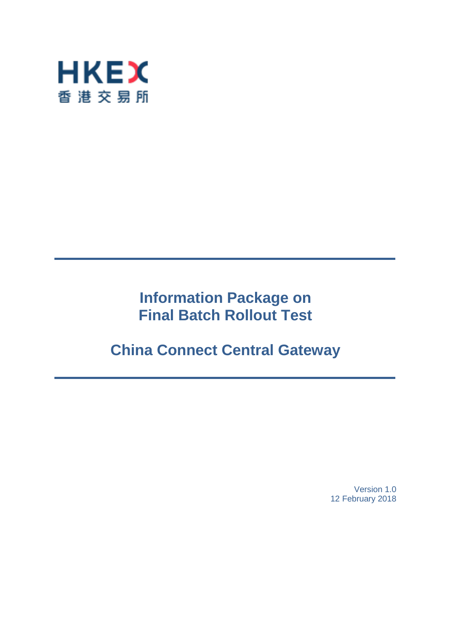

# **Information Package on Final Batch Rollout Test**

# **China Connect Central Gateway**

Version 1.0 12 February 2018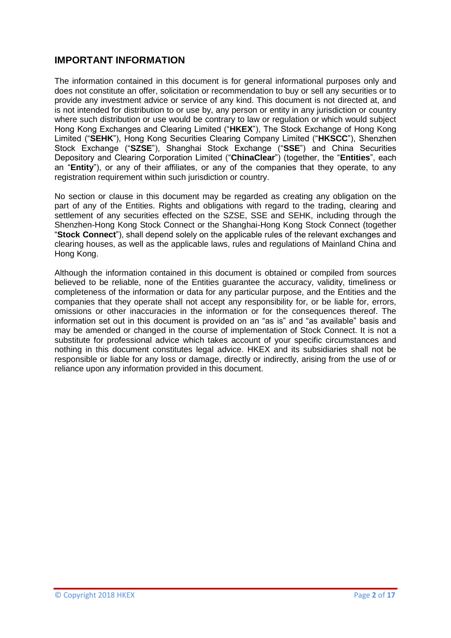# **IMPORTANT INFORMATION**

The information contained in this document is for general informational purposes only and does not constitute an offer, solicitation or recommendation to buy or sell any securities or to provide any investment advice or service of any kind. This document is not directed at, and is not intended for distribution to or use by, any person or entity in any jurisdiction or country where such distribution or use would be contrary to law or regulation or which would subject Hong Kong Exchanges and Clearing Limited ("**HKEX**"), The Stock Exchange of Hong Kong Limited ("**SEHK**"), Hong Kong Securities Clearing Company Limited ("**HKSCC**"), Shenzhen Stock Exchange ("**SZSE**"), Shanghai Stock Exchange ("**SSE**") and China Securities Depository and Clearing Corporation Limited ("**ChinaClear**") (together, the "**Entities**", each an "**Entity**"), or any of their affiliates, or any of the companies that they operate, to any registration requirement within such jurisdiction or country.

No section or clause in this document may be regarded as creating any obligation on the part of any of the Entities. Rights and obligations with regard to the trading, clearing and settlement of any securities effected on the SZSE, SSE and SEHK, including through the Shenzhen-Hong Kong Stock Connect or the Shanghai-Hong Kong Stock Connect (together "**Stock Connect**"), shall depend solely on the applicable rules of the relevant exchanges and clearing houses, as well as the applicable laws, rules and regulations of Mainland China and Hong Kong.

Although the information contained in this document is obtained or compiled from sources believed to be reliable, none of the Entities guarantee the accuracy, validity, timeliness or completeness of the information or data for any particular purpose, and the Entities and the companies that they operate shall not accept any responsibility for, or be liable for, errors, omissions or other inaccuracies in the information or for the consequences thereof. The information set out in this document is provided on an "as is" and "as available" basis and may be amended or changed in the course of implementation of Stock Connect. It is not a substitute for professional advice which takes account of your specific circumstances and nothing in this document constitutes legal advice. HKEX and its subsidiaries shall not be responsible or liable for any loss or damage, directly or indirectly, arising from the use of or reliance upon any information provided in this document.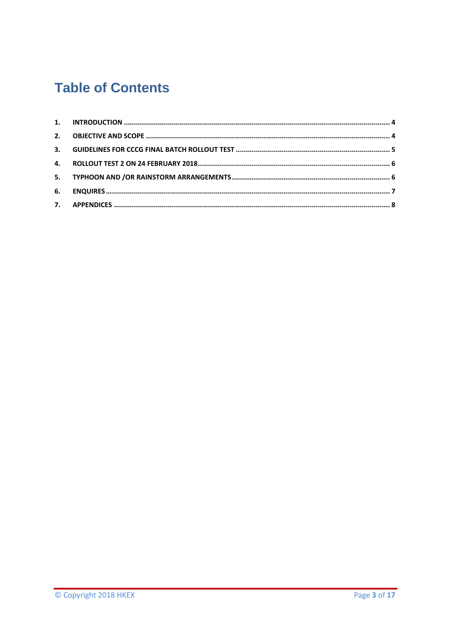# **Table of Contents**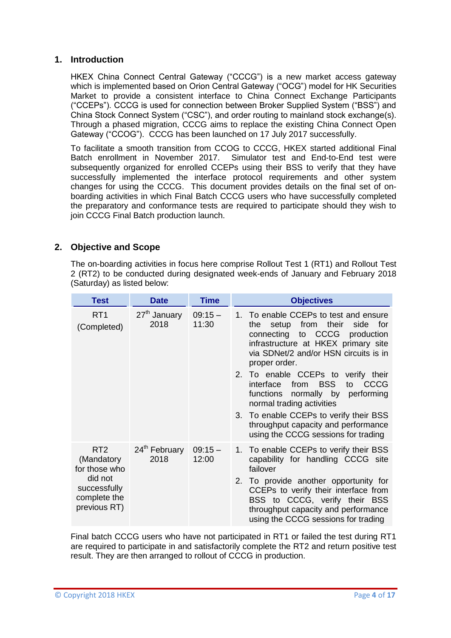### <span id="page-3-0"></span>**1. Introduction**

HKEX China Connect Central Gateway ("CCCG") is a new market access gateway which is implemented based on Orion Central Gateway ("OCG") model for HK Securities Market to provide a consistent interface to China Connect Exchange Participants ("CCEPs"). CCCG is used for connection between Broker Supplied System ("BSS") and China Stock Connect System ("CSC"), and order routing to mainland stock exchange(s). Through a phased migration, CCCG aims to replace the existing China Connect Open Gateway ("CCOG"). CCCG has been launched on 17 July 2017 successfully.

To facilitate a smooth transition from CCOG to CCCG, HKEX started additional Final Batch enrollment in November 2017. Simulator test and End-to-End test were subsequently organized for enrolled CCEPs using their BSS to verify that they have successfully implemented the interface protocol requirements and other system changes for using the CCCG. This document provides details on the final set of onboarding activities in which Final Batch CCCG users who have successfully completed the preparatory and conformance tests are required to participate should they wish to join CCCG Final Batch production launch.

## <span id="page-3-1"></span>**2. Objective and Scope**

The on-boarding activities in focus here comprise Rollout Test 1 (RT1) and Rollout Test 2 (RT2) to be conducted during designated week-ends of January and February 2018 (Saturday) as listed below:

| <b>Test</b>                                                                                               | <b>Date</b>                       | <b>Time</b>        | <b>Objectives</b>                                                                                                                                                                                                                                                                                                                                                                                                                                                                    |
|-----------------------------------------------------------------------------------------------------------|-----------------------------------|--------------------|--------------------------------------------------------------------------------------------------------------------------------------------------------------------------------------------------------------------------------------------------------------------------------------------------------------------------------------------------------------------------------------------------------------------------------------------------------------------------------------|
| RT <sub>1</sub><br>(Completed)                                                                            | 27 <sup>th</sup> January<br>2018  | $09:15 -$<br>11:30 | 1. To enable CCEPs to test and ensure<br>setup from their<br>side for<br>the<br>connecting to CCCG<br>production<br>infrastructure at HKEX primary site<br>via SDNet/2 and/or HSN circuits is in<br>proper order.<br>2. To enable CCEPs to verify their<br>from BSS<br>interface<br>to CCCG<br>functions normally by performing<br>normal trading activities<br>3. To enable CCEPs to verify their BSS<br>throughput capacity and performance<br>using the CCCG sessions for trading |
| RT <sub>2</sub><br>(Mandatory<br>for those who<br>did not<br>successfully<br>complete the<br>previous RT) | 24 <sup>th</sup> February<br>2018 | $09:15 -$<br>12:00 | 1. To enable CCEPs to verify their BSS<br>capability for handling CCCG site<br>failover<br>2. To provide another opportunity for<br>CCEPs to verify their interface from<br>BSS to CCCG, verify their BSS<br>throughput capacity and performance<br>using the CCCG sessions for trading                                                                                                                                                                                              |

Final batch CCCG users who have not participated in RT1 or failed the test during RT1 are required to participate in and satisfactorily complete the RT2 and return positive test result. They are then arranged to rollout of CCCG in production.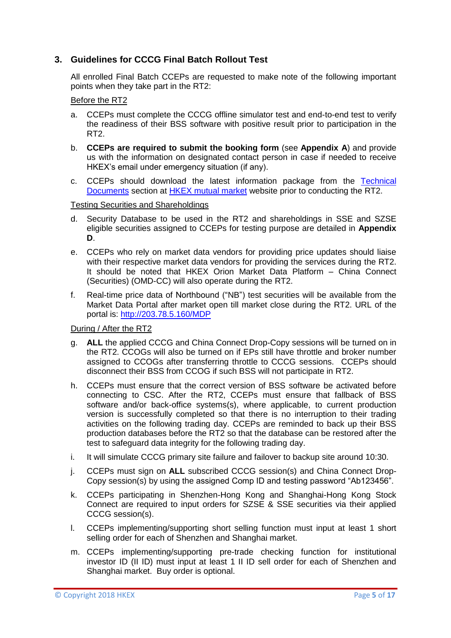## <span id="page-4-0"></span>**3. Guidelines for CCCG Final Batch Rollout Test**

All enrolled Final Batch CCEPs are requested to make note of the following important points when they take part in the RT2:

#### Before the RT2

- a. CCEPs must complete the CCCG offline simulator test and end-to-end test to verify the readiness of their BSS software with positive result prior to participation in the RT2.
- b. **CCEPs are required to submit the booking form** (see **Appendix A**) and provide us with the information on designated contact person in case if needed to receive HKEX's email under emergency situation (if any).
- c. CCEPs should download the latest information package from the [Technical](http://www.hkex.com.hk/mutual-market/stock-connect/reference-materials/technical-documents?sc_lang=en)  [Documents](http://www.hkex.com.hk/mutual-market/stock-connect/reference-materials/technical-documents?sc_lang=en) section at [HKEX mutual market](http://www.hkex.com.hk/Mutual-Market/Stock-Connect?sc_lang=en) website prior to conducting the RT2.

#### Testing Securities and Shareholdings

- d. Security Database to be used in the RT2 and shareholdings in SSE and SZSE eligible securities assigned to CCEPs for testing purpose are detailed in **Appendix D**.
- e. CCEPs who rely on market data vendors for providing price updates should liaise with their respective market data vendors for providing the services during the RT2. It should be noted that HKEX Orion Market Data Platform – China Connect (Securities) (OMD-CC) will also operate during the RT2.
- f. Real-time price data of Northbound ("NB") test securities will be available from the Market Data Portal after market open till market close during the RT2. URL of the portal is:<http://203.78.5.160/MDP>

#### During / After the RT2

- g. **ALL** the applied CCCG and China Connect Drop-Copy sessions will be turned on in the RT2. CCOGs will also be turned on if EPs still have throttle and broker number assigned to CCOGs after transferring throttle to CCCG sessions. CCEPs should disconnect their BSS from CCOG if such BSS will not participate in RT2.
- h. CCEPs must ensure that the correct version of BSS software be activated before connecting to CSC. After the RT2, CCEPs must ensure that fallback of BSS software and/or back-office systems(s), where applicable, to current production version is successfully completed so that there is no interruption to their trading activities on the following trading day. CCEPs are reminded to back up their BSS production databases before the RT2 so that the database can be restored after the test to safeguard data integrity for the following trading day.
- i. It will simulate CCCG primary site failure and failover to backup site around 10:30.
- j. CCEPs must sign on **ALL** subscribed CCCG session(s) and China Connect Drop-Copy session(s) by using the assigned Comp ID and testing password "Ab123456".
- k. CCEPs participating in Shenzhen-Hong Kong and Shanghai-Hong Kong Stock Connect are required to input orders for SZSE & SSE securities via their applied CCCG session(s).
- l. CCEPs implementing/supporting short selling function must input at least 1 short selling order for each of Shenzhen and Shanghai market.
- m. CCEPs implementing/supporting pre-trade checking function for institutional investor ID (II ID) must input at least 1 II ID sell order for each of Shenzhen and Shanghai market. Buy order is optional.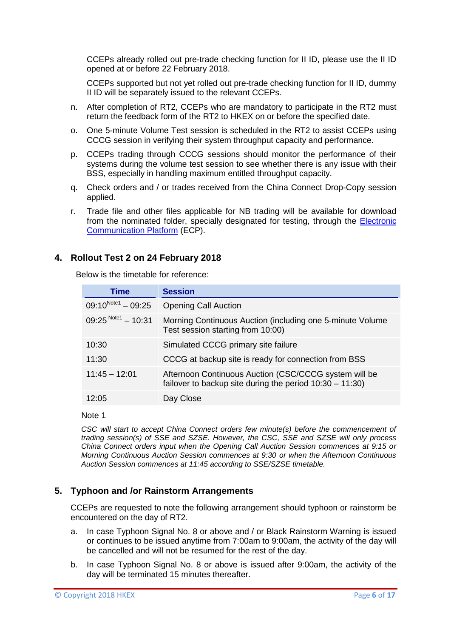CCEPs already rolled out pre-trade checking function for II ID, please use the II ID opened at or before 22 February 2018.

CCEPs supported but not yet rolled out pre-trade checking function for II ID, dummy II ID will be separately issued to the relevant CCEPs.

- n. After completion of RT2, CCEPs who are mandatory to participate in the RT2 must return the feedback form of the RT2 to HKEX on or before the specified date.
- o. One 5-minute Volume Test session is scheduled in the RT2 to assist CCEPs using CCCG session in verifying their system throughput capacity and performance.
- p. CCEPs trading through CCCG sessions should monitor the performance of their systems during the volume test session to see whether there is any issue with their BSS, especially in handling maximum entitled throughput capacity.
- q. Check orders and / or trades received from the China Connect Drop-Copy session applied.
- r. Trade file and other files applicable for NB trading will be available for download from the nominated folder, specially designated for testing, through the [Electronic](https://www.ecp.hkex.com.hk/logon.aspx)  [Communication Platform](https://www.ecp.hkex.com.hk/logon.aspx) (ECP).

### <span id="page-5-0"></span>**4. Rollout Test 2 on 24 February 2018**

Below is the timetable for reference:

| Time                    | <b>Session</b>                                                                                                    |
|-------------------------|-------------------------------------------------------------------------------------------------------------------|
| $09:10^{Note1} - 09:25$ | <b>Opening Call Auction</b>                                                                                       |
| $09:25^{Notel} - 10:31$ | Morning Continuous Auction (including one 5-minute Volume<br>Test session starting from 10:00)                    |
| 10:30                   | Simulated CCCG primary site failure                                                                               |
| 11:30                   | CCCG at backup site is ready for connection from BSS                                                              |
| $11:45 - 12:01$         | Afternoon Continuous Auction (CSC/CCCG system will be<br>failover to backup site during the period 10:30 - 11:30) |
| 12.05                   | Day Close                                                                                                         |

Note 1

*CSC will start to accept China Connect orders few minute(s) before the commencement of trading session(s) of SSE and SZSE. However, the CSC, SSE and SZSE will only process China Connect orders input when the Opening Call Auction Session commences at 9:15 or Morning Continuous Auction Session commences at 9:30 or when the Afternoon Continuous Auction Session commences at 11:45 according to SSE/SZSE timetable.*

### <span id="page-5-1"></span>**5. Typhoon and /or Rainstorm Arrangements**

CCEPs are requested to note the following arrangement should typhoon or rainstorm be encountered on the day of RT2.

- a. In case Typhoon Signal No. 8 or above and / or Black Rainstorm Warning is issued or continues to be issued anytime from 7:00am to 9:00am, the activity of the day will be cancelled and will not be resumed for the rest of the day.
- b. In case Typhoon Signal No. 8 or above is issued after 9:00am, the activity of the day will be terminated 15 minutes thereafter.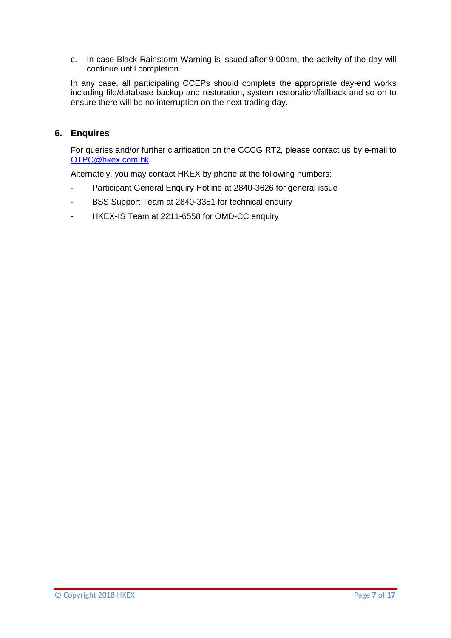c. In case Black Rainstorm Warning is issued after 9:00am, the activity of the day will continue until completion.

In any case, all participating CCEPs should complete the appropriate day-end works including file/database backup and restoration, system restoration/fallback and so on to ensure there will be no interruption on the next trading day.

### <span id="page-6-0"></span>**6. Enquires**

For queries and/or further clarification on the CCCG RT2, please contact us by e-mail to [OTPC@hkex.com.hk.](mailto:OTPC@hkex.com.hk)

Alternately, you may contact HKEX by phone at the following numbers:

- Participant General Enquiry Hotline at 2840-3626 for general issue
- BSS Support Team at 2840-3351 for technical enquiry
- HKEX-IS Team at 2211-6558 for OMD-CC enquiry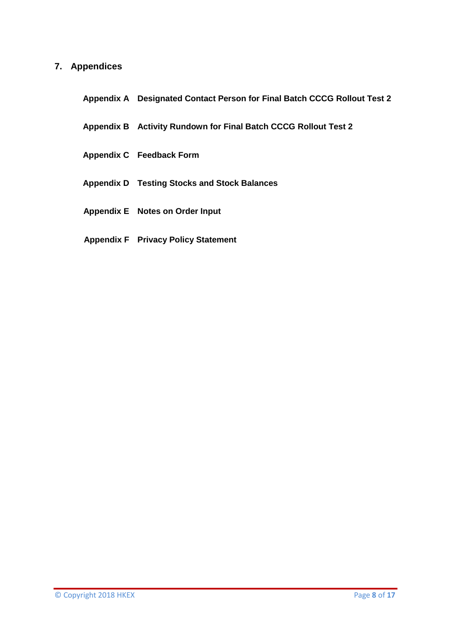## <span id="page-7-0"></span>**7. Appendices**

- **Appendix A Designated Contact Person for Final Batch CCCG Rollout Test 2**
- **Appendix B Activity Rundown for Final Batch CCCG Rollout Test 2**
- **Appendix C Feedback Form**
- **Appendix D Testing Stocks and Stock Balances**
- **Appendix E Notes on Order Input**
- **Appendix F Privacy Policy Statement**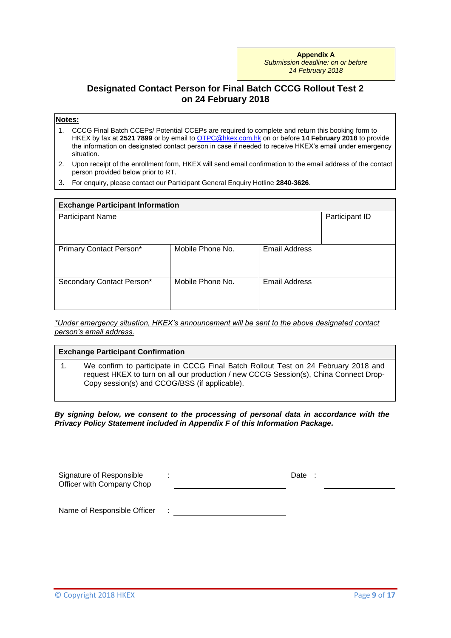**Appendix A** *Submission deadline: on or before 14 February 2018*

## **Designated Contact Person for Final Batch CCCG Rollout Test 2 on 24 February 2018**

#### **Notes:**

- 1. CCCG Final Batch CCEPs/ Potential CCEPs are required to complete and return this booking form to HKEX by fax at **2521 7899** or by email to [OTPC@hkex.com.hk](mailto:OTPC@hkex.com.hk) on or before **14 February 2018** to provide the information on designated contact person in case if needed to receive HKEX's email under emergency situation.
- 2. Upon receipt of the enrollment form, HKEX will send email confirmation to the email address of the contact person provided below prior to RT.
- 3. For enquiry, please contact our Participant General Enquiry Hotline **2840-3626**.

| <b>Exchange Participant Information</b> |                  |                      |  |
|-----------------------------------------|------------------|----------------------|--|
| <b>Participant Name</b>                 |                  |                      |  |
|                                         |                  |                      |  |
| Primary Contact Person*                 | Mobile Phone No. | <b>Email Address</b> |  |
| Secondary Contact Person*               | Mobile Phone No. | <b>Email Address</b> |  |

*\*Under emergency situation, HKEX's announcement will be sent to the above designated contact person's email address.*

| <b>Exchange Participant Confirmation</b> |                                                                                                                                                                                                                              |  |  |
|------------------------------------------|------------------------------------------------------------------------------------------------------------------------------------------------------------------------------------------------------------------------------|--|--|
|                                          | We confirm to participate in CCCG Final Batch Rollout Test on 24 February 2018 and<br>request HKEX to turn on all our production / new CCCG Session(s), China Connect Drop-<br>Copy session(s) and CCOG/BSS (if applicable). |  |  |

*By signing below, we consent to the processing of personal data in accordance with the Privacy Policy Statement included in Appendix F of this Information Package.*

| Signature of Responsible<br>Officer with Company Chop | Date |
|-------------------------------------------------------|------|
| Name of Responsible Officer                           |      |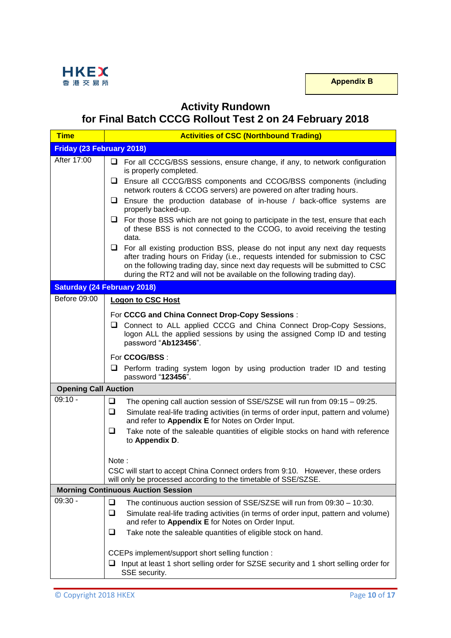

# **Activity Rundown**

**for Final Batch CCCG Rollout Test 2 on 24 February 2018**

| <b>Time</b>                               | <b>Activities of CSC (Northbound Trading)</b>                                                                                                                                                                                                                                                                                  |  |  |
|-------------------------------------------|--------------------------------------------------------------------------------------------------------------------------------------------------------------------------------------------------------------------------------------------------------------------------------------------------------------------------------|--|--|
| Friday (23 February 2018)                 |                                                                                                                                                                                                                                                                                                                                |  |  |
| After 17:00                               | $\Box$ For all CCCG/BSS sessions, ensure change, if any, to network configuration<br>is properly completed.                                                                                                                                                                                                                    |  |  |
|                                           | Ensure all CCCG/BSS components and CCOG/BSS components (including<br>⊔                                                                                                                                                                                                                                                         |  |  |
|                                           | network routers & CCOG servers) are powered on after trading hours.<br>Ensure the production database of in-house / back-office systems are<br>u.                                                                                                                                                                              |  |  |
|                                           | properly backed-up.<br>$\Box$ For those BSS which are not going to participate in the test, ensure that each                                                                                                                                                                                                                   |  |  |
|                                           | of these BSS is not connected to the CCOG, to avoid receiving the testing<br>data.                                                                                                                                                                                                                                             |  |  |
|                                           | $\Box$ For all existing production BSS, please do not input any next day requests<br>after trading hours on Friday (i.e., requests intended for submission to CSC<br>on the following trading day, since next day requests will be submitted to CSC<br>during the RT2 and will not be available on the following trading day). |  |  |
|                                           | <b>Saturday (24 February 2018)</b>                                                                                                                                                                                                                                                                                             |  |  |
| Before 09:00                              | <b>Logon to CSC Host</b>                                                                                                                                                                                                                                                                                                       |  |  |
|                                           | For CCCG and China Connect Drop-Copy Sessions:                                                                                                                                                                                                                                                                                 |  |  |
|                                           | Connect to ALL applied CCCG and China Connect Drop-Copy Sessions,<br>ப<br>logon ALL the applied sessions by using the assigned Comp ID and testing<br>password "Ab123456".                                                                                                                                                     |  |  |
|                                           | For CCOG/BSS :                                                                                                                                                                                                                                                                                                                 |  |  |
|                                           | $\Box$ Perform trading system logon by using production trader ID and testing<br>password "123456".                                                                                                                                                                                                                            |  |  |
| <b>Opening Call Auction</b>               |                                                                                                                                                                                                                                                                                                                                |  |  |
| $09:10 -$                                 | ❏<br>The opening call auction session of SSE/SZSE will run from 09:15 - 09:25.                                                                                                                                                                                                                                                 |  |  |
|                                           | ❏<br>Simulate real-life trading activities (in terms of order input, pattern and volume)<br>and refer to Appendix E for Notes on Order Input.                                                                                                                                                                                  |  |  |
|                                           | ❏<br>Take note of the saleable quantities of eligible stocks on hand with reference<br>to Appendix D.                                                                                                                                                                                                                          |  |  |
|                                           | Note :                                                                                                                                                                                                                                                                                                                         |  |  |
|                                           | CSC will start to accept China Connect orders from 9:10. However, these orders<br>will only be processed according to the timetable of SSE/SZSE.                                                                                                                                                                               |  |  |
| <b>Morning Continuous Auction Session</b> |                                                                                                                                                                                                                                                                                                                                |  |  |
| $09:30 -$                                 | The continuous auction session of SSE/SZSE will run from 09:30 - 10:30.<br>ப                                                                                                                                                                                                                                                   |  |  |
|                                           | ❏<br>Simulate real-life trading activities (in terms of order input, pattern and volume)<br>and refer to Appendix E for Notes on Order Input.                                                                                                                                                                                  |  |  |
|                                           | Take note the saleable quantities of eligible stock on hand.<br>⊔                                                                                                                                                                                                                                                              |  |  |
|                                           | CCEPs implement/support short selling function :                                                                                                                                                                                                                                                                               |  |  |
|                                           | Input at least 1 short selling order for SZSE security and 1 short selling order for<br>u                                                                                                                                                                                                                                      |  |  |
|                                           | SSE security.                                                                                                                                                                                                                                                                                                                  |  |  |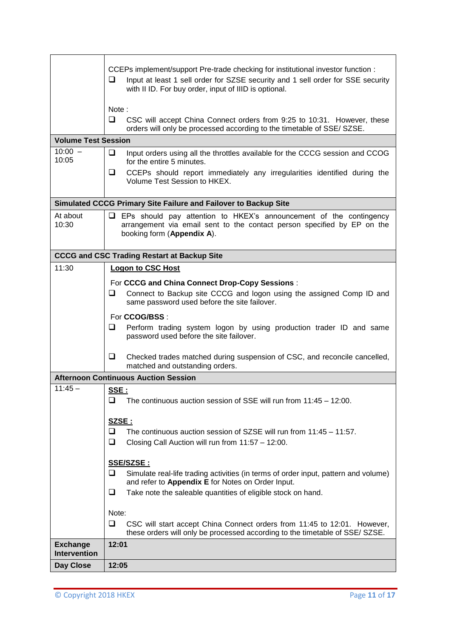|                                        | CCEPs implement/support Pre-trade checking for institutional investor function :<br>□<br>Input at least 1 sell order for SZSE security and 1 sell order for SSE security<br>with II ID. For buy order, input of IIID is optional.<br>Note:<br>$\Box$<br>CSC will accept China Connect orders from 9:25 to 10:31. However, these<br>orders will only be processed according to the timetable of SSE/ SZSE. |
|----------------------------------------|-----------------------------------------------------------------------------------------------------------------------------------------------------------------------------------------------------------------------------------------------------------------------------------------------------------------------------------------------------------------------------------------------------------|
| <b>Volume Test Session</b>             |                                                                                                                                                                                                                                                                                                                                                                                                           |
| $10:00 -$<br>10:05                     | ❏<br>Input orders using all the throttles available for the CCCG session and CCOG<br>for the entire 5 minutes.                                                                                                                                                                                                                                                                                            |
|                                        | $\Box$<br>CCEPs should report immediately any irregularities identified during the<br>Volume Test Session to HKEX.                                                                                                                                                                                                                                                                                        |
|                                        | Simulated CCCG Primary Site Failure and Failover to Backup Site                                                                                                                                                                                                                                                                                                                                           |
| At about<br>10:30                      | $\Box$ EPs should pay attention to HKEX's announcement of the contingency<br>arrangement via email sent to the contact person specified by EP on the<br>booking form (Appendix A).                                                                                                                                                                                                                        |
|                                        | <b>CCCG and CSC Trading Restart at Backup Site</b>                                                                                                                                                                                                                                                                                                                                                        |
| 11:30                                  | Logon to CSC Host<br>For CCCG and China Connect Drop-Copy Sessions:<br>❏<br>Connect to Backup site CCCG and logon using the assigned Comp ID and                                                                                                                                                                                                                                                          |
|                                        | same password used before the site failover.                                                                                                                                                                                                                                                                                                                                                              |
|                                        | For CCOG/BSS :<br>$\Box$<br>Perform trading system logon by using production trader ID and same<br>password used before the site failover.                                                                                                                                                                                                                                                                |
|                                        | ❏<br>Checked trades matched during suspension of CSC, and reconcile cancelled,<br>matched and outstanding orders.                                                                                                                                                                                                                                                                                         |
|                                        | <b>Afternoon Continuous Auction Session</b>                                                                                                                                                                                                                                                                                                                                                               |
| $11:45 -$                              | SSE:<br>The continuous auction session of SSE will run from 11:45 - 12:00.<br>⊔                                                                                                                                                                                                                                                                                                                           |
|                                        | <u>SZSE :</u><br>$\Box$<br>The continuous auction session of SZSE will run from 11:45 - 11:57.<br>❏<br>Closing Call Auction will run from 11:57 - 12:00.                                                                                                                                                                                                                                                  |
|                                        | <u>SSE/SZSE :</u><br>❏<br>Simulate real-life trading activities (in terms of order input, pattern and volume)<br>and refer to Appendix E for Notes on Order Input.<br>Take note the saleable quantities of eligible stock on hand.<br>⊔                                                                                                                                                                   |
|                                        |                                                                                                                                                                                                                                                                                                                                                                                                           |
|                                        | Note:<br>❏<br>CSC will start accept China Connect orders from 11:45 to 12:01. However,                                                                                                                                                                                                                                                                                                                    |
|                                        | these orders will only be processed according to the timetable of SSE/ SZSE.                                                                                                                                                                                                                                                                                                                              |
| <b>Exchange</b><br><b>Intervention</b> | 12:01                                                                                                                                                                                                                                                                                                                                                                                                     |
| Day Close                              | 12:05                                                                                                                                                                                                                                                                                                                                                                                                     |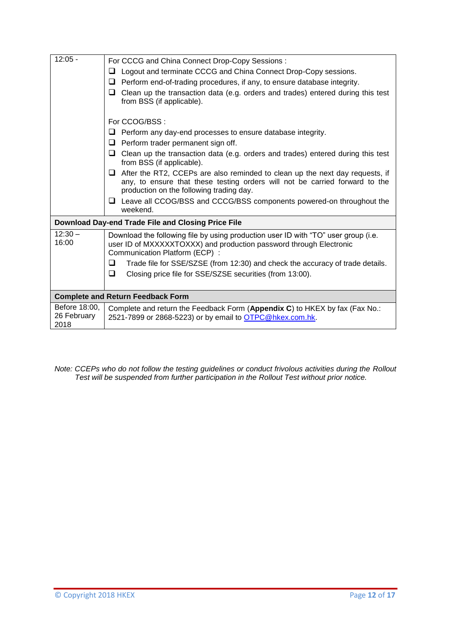| $12:05 -$                            | For CCCG and China Connect Drop-Copy Sessions:                                                                                                                                                                 |  |  |
|--------------------------------------|----------------------------------------------------------------------------------------------------------------------------------------------------------------------------------------------------------------|--|--|
|                                      | Logout and terminate CCCG and China Connect Drop-Copy sessions.<br>ப                                                                                                                                           |  |  |
|                                      | Perform end-of-trading procedures, if any, to ensure database integrity.<br>ப                                                                                                                                  |  |  |
|                                      | $\Box$ Clean up the transaction data (e.g. orders and trades) entered during this test<br>from BSS (if applicable).                                                                                            |  |  |
|                                      | For CCOG/BSS:                                                                                                                                                                                                  |  |  |
|                                      | Perform any day-end processes to ensure database integrity.                                                                                                                                                    |  |  |
|                                      | $\Box$ Perform trader permanent sign off.                                                                                                                                                                      |  |  |
|                                      | Clean up the transaction data (e.g. orders and trades) entered during this test<br>ப<br>from BSS (if applicable).                                                                                              |  |  |
|                                      | $\Box$ After the RT2, CCEPs are also reminded to clean up the next day requests, if<br>any, to ensure that these testing orders will not be carried forward to the<br>production on the following trading day. |  |  |
|                                      | $\Box$ Leave all CCOG/BSS and CCCG/BSS components powered-on throughout the<br>weekend.                                                                                                                        |  |  |
|                                      | Download Day-end Trade File and Closing Price File                                                                                                                                                             |  |  |
| $12:30 -$<br>16:00                   | Download the following file by using production user ID with "TO" user group (i.e.<br>user ID of MXXXXXTOXXX) and production password through Electronic<br>Communication Platform (ECP) :                     |  |  |
|                                      | Trade file for SSE/SZSE (from 12:30) and check the accuracy of trade details.<br>❏                                                                                                                             |  |  |
|                                      | ❏<br>Closing price file for SSE/SZSE securities (from 13:00).                                                                                                                                                  |  |  |
|                                      | <b>Complete and Return Feedback Form</b>                                                                                                                                                                       |  |  |
| Before 18:00,<br>26 February<br>2018 | Complete and return the Feedback Form (Appendix C) to HKEX by fax (Fax No.:<br>2521-7899 or 2868-5223) or by email to <b>OTPC@hkex.com.hk.</b>                                                                 |  |  |
|                                      |                                                                                                                                                                                                                |  |  |

*Note: CCEPs who do not follow the testing guidelines or conduct frivolous activities during the Rollout Test will be suspended from further participation in the Rollout Test without prior notice.*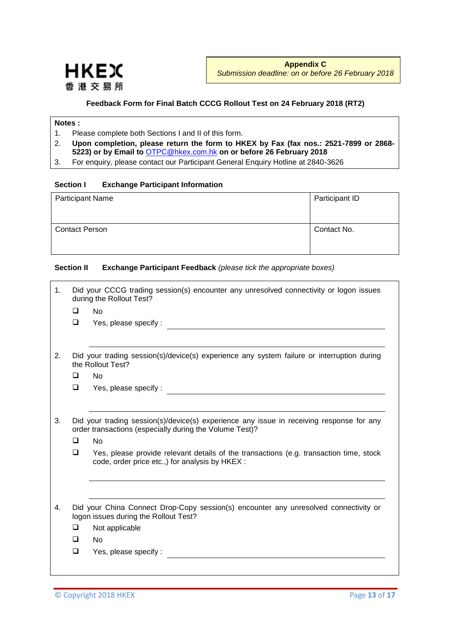

#### **Feedback Form for Final Batch CCCG Rollout Test on 24 February 2018 (RT2)**

#### **Notes :**

- 1. Please complete both Sections I and II of this form.
- 2. **Upon completion, please return the form to HKEX by Fax (fax nos.: 2521-7899 or 2868- 5223) or by Email to** [OTPC@hkex.com.hk](mailto:OTPC@hkex.com.hk) **on or before 26 February 2018**
- 3. For enquiry, please contact our Participant General Enquiry Hotline at 2840-3626

#### **Section I Exchange Participant Information**

| <b>Participant Name</b> | Participant ID |
|-------------------------|----------------|
| <b>Contact Person</b>   | Contact No.    |

#### **Section II Exchange Participant Feedback** *(please tick the appropriate boxes)*

| 1. |        | Did your CCCG trading session(s) encounter any unresolved connectivity or logon issues<br>during the Rollout Test?                                  |
|----|--------|-----------------------------------------------------------------------------------------------------------------------------------------------------|
|    | $\Box$ | <b>No</b>                                                                                                                                           |
|    | $\Box$ | Yes, please specify:                                                                                                                                |
| 2. |        | Did your trading session(s)/device(s) experience any system failure or interruption during<br>the Rollout Test?                                     |
|    | $\Box$ | <b>No</b>                                                                                                                                           |
|    | $\Box$ | Yes, please specify:                                                                                                                                |
|    |        |                                                                                                                                                     |
| 3. |        | Did your trading session(s)/device(s) experience any issue in receiving response for any<br>order transactions (especially during the Volume Test)? |
|    | $\Box$ | <b>No</b>                                                                                                                                           |
|    | $\Box$ | Yes, please provide relevant details of the transactions (e.g. transaction time, stock<br>code, order price etc.,) for analysis by HKEX :           |
|    |        |                                                                                                                                                     |
| 4. |        | Did your China Connect Drop-Copy session(s) encounter any unresolved connectivity or<br>logon issues during the Rollout Test?                       |
|    | $\Box$ | Not applicable                                                                                                                                      |
|    | $\Box$ | <b>No</b>                                                                                                                                           |
|    | $\Box$ | Yes, please specify:                                                                                                                                |
|    |        |                                                                                                                                                     |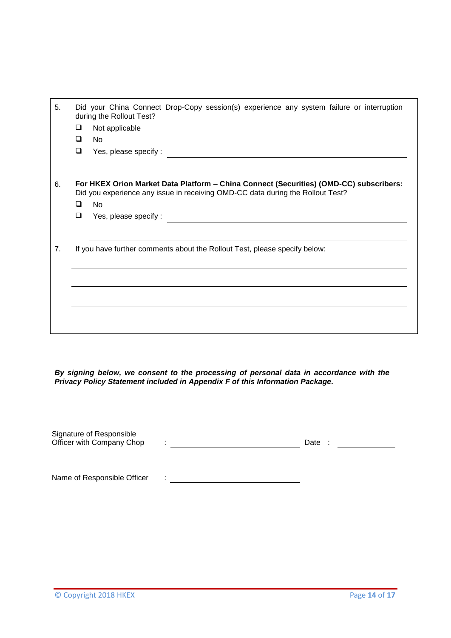| 5. |   | Did your China Connect Drop-Copy session(s) experience any system failure or interruption<br>during the Rollout Test?                                                    |
|----|---|--------------------------------------------------------------------------------------------------------------------------------------------------------------------------|
|    | ❏ | Not applicable                                                                                                                                                           |
|    | □ | <b>No</b>                                                                                                                                                                |
|    | ❏ | Yes, please specify:                                                                                                                                                     |
|    |   |                                                                                                                                                                          |
| 6. |   | For HKEX Orion Market Data Platform - China Connect (Securities) (OMD-CC) subscribers:<br>Did you experience any issue in receiving OMD-CC data during the Rollout Test? |
|    | □ | <b>No</b>                                                                                                                                                                |
|    | □ | Yes, please specify:                                                                                                                                                     |
|    |   |                                                                                                                                                                          |
| 7. |   | If you have further comments about the Rollout Test, please specify below:                                                                                               |
|    |   |                                                                                                                                                                          |
|    |   |                                                                                                                                                                          |
|    |   |                                                                                                                                                                          |
|    |   |                                                                                                                                                                          |
|    |   |                                                                                                                                                                          |
|    |   |                                                                                                                                                                          |

*By signing below, we consent to the processing of personal data in accordance with the Privacy Policy Statement included in Appendix F of this Information Package.*

| Signature of Responsible<br>Officer with Company Chop | ٠ | Date |
|-------------------------------------------------------|---|------|
|                                                       |   |      |
| Name of Responsible Officer                           |   |      |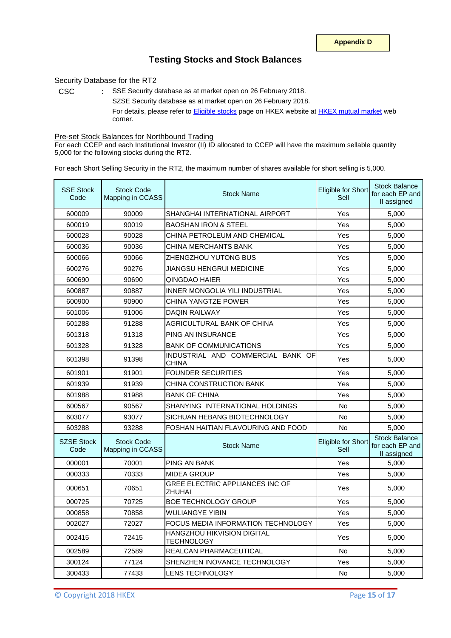### **Testing Stocks and Stock Balances**

#### Security Database for the RT2

CSC : SSE Security database as at market open on 26 February 2018. SZSE Security database as at market open on 26 February 2018. For details, please refer to **[Eligible stocks](http://www.hkex.com.hk/Mutual-Market/Stock-Connect/Eligible-Stocks/View-All-Eligible-Securities?sc_lang=en)** page on HKEX website at **[HKEX mutual market](http://www.hkex.com.hk/Mutual-Market/Stock-Connect?sc_lang=en)** web corner.

#### Pre-set Stock Balances for Northbound Trading

For each CCEP and each Institutional Investor (II) ID allocated to CCEP will have the maximum sellable quantity 5,000 for the following stocks during the RT2.

For each Short Selling Security in the RT2, the maximum number of shares available for short selling is 5,000.

| <b>SSE Stock</b><br>Code  | <b>Stock Code</b><br>Mapping in CCASS | <b>Stock Name</b>                                | Eligible for Short<br>Sell | <b>Stock Balance</b><br>for each EP and<br>II assigned |
|---------------------------|---------------------------------------|--------------------------------------------------|----------------------------|--------------------------------------------------------|
| 600009                    | 90009                                 | SHANGHAI INTERNATIONAL AIRPORT                   | Yes                        | 5,000                                                  |
| 600019                    | 90019                                 | <b>BAOSHAN IRON &amp; STEEL</b>                  | Yes                        | 5,000                                                  |
| 600028                    | 90028                                 | CHINA PETROLEUM AND CHEMICAL                     | Yes                        | 5,000                                                  |
| 600036                    | 90036                                 | CHINA MERCHANTS BANK                             | Yes                        | 5,000                                                  |
| 600066                    | 90066                                 | ZHENGZHOU YUTONG BUS                             | Yes                        | 5.000                                                  |
| 600276                    | 90276                                 | JIANGSU HENGRUI MEDICINE                         | Yes                        | 5,000                                                  |
| 600690                    | 90690                                 | QINGDAO HAIER                                    | Yes                        | 5,000                                                  |
| 600887                    | 90887                                 | <b>INNER MONGOLIA YILI INDUSTRIAL</b>            | Yes                        | 5,000                                                  |
| 600900                    | 90900                                 | CHINA YANGTZE POWER                              | Yes                        | 5,000                                                  |
| 601006                    | 91006                                 | <b>DAQIN RAILWAY</b>                             | Yes                        | 5,000                                                  |
| 601288                    | 91288                                 | AGRICULTURAL BANK OF CHINA                       | Yes                        | 5,000                                                  |
| 601318                    | 91318                                 | PING AN INSURANCE                                | Yes                        | 5,000                                                  |
| 601328                    | 91328                                 | <b>BANK OF COMMUNICATIONS</b>                    | Yes                        | 5,000                                                  |
| 601398                    | 91398                                 | INDUSTRIAL AND COMMERCIAL BANK OF<br>CHINA       | Yes                        | 5,000                                                  |
| 601901                    | 91901                                 | <b>FOUNDER SECURITIES</b>                        | Yes                        | 5,000                                                  |
| 601939                    | 91939                                 | CHINA CONSTRUCTION BANK                          | Yes                        | 5,000                                                  |
| 601988                    | 91988                                 | <b>BANK OF CHINA</b>                             | Yes                        | 5,000                                                  |
| 600567                    | 90567                                 | SHANYING INTERNATIONAL HOLDINGS                  | <b>No</b>                  | 5,000                                                  |
| 603077                    | 93077                                 | SICHUAN HEBANG BIOTECHNOLOGY                     | <b>No</b>                  | 5,000                                                  |
| 603288                    | 93288                                 | FOSHAN HAITIAN FLAVOURING AND FOOD               | <b>No</b>                  | 5,000                                                  |
| <b>SZSE Stock</b><br>Code | <b>Stock Code</b><br>Mapping in CCASS | <b>Stock Name</b>                                | Eligible for Short<br>Sell | <b>Stock Balance</b><br>for each EP and<br>II assigned |
| 000001                    | 70001                                 | <b>PING AN BANK</b>                              | Yes                        | 5,000                                                  |
| 000333                    | 70333                                 | <b>MIDEA GROUP</b>                               | Yes                        | 5,000                                                  |
| 000651                    | 70651                                 | GREE ELECTRIC APPLIANCES INC OF<br><b>ZHUHAI</b> | Yes                        | 5,000                                                  |
| 000725                    | 70725                                 | <b>BOE TECHNOLOGY GROUP</b>                      | Yes                        | 5,000                                                  |
| 000858                    | 70858                                 | WULIANGYE YIBIN                                  | Yes                        | 5,000                                                  |
| 002027                    | 72027                                 | FOCUS MEDIA INFORMATION TECHNOLOGY               | Yes                        | 5,000                                                  |
| 002415                    | 72415                                 | HANGZHOU HIKVISION DIGITAL<br><b>TECHNOLOGY</b>  | Yes                        | 5,000                                                  |
| 002589                    | 72589                                 | <b>REALCAN PHARMACEUTICAL</b>                    | No                         | 5,000                                                  |
| 300124                    | 77124                                 | SHENZHEN INOVANCE TECHNOLOGY                     | Yes                        | 5,000                                                  |
| 300433                    | 77433                                 | <b>LENS TECHNOLOGY</b>                           | No                         | 5,000                                                  |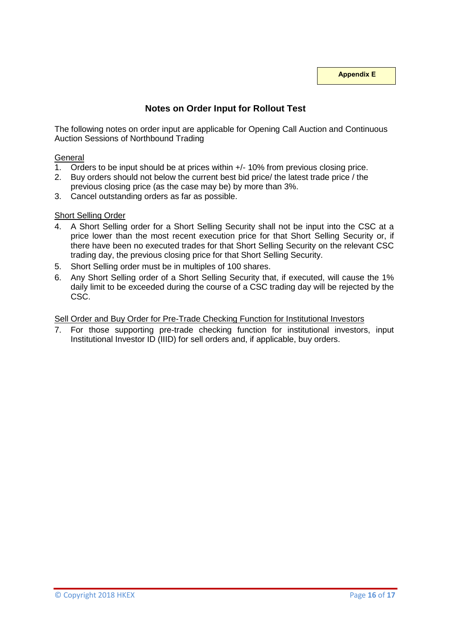**Appendix E**

# **Notes on Order Input for Rollout Test**

The following notes on order input are applicable for Opening Call Auction and Continuous Auction Sessions of Northbound Trading

#### **General**

- 1. Orders to be input should be at prices within +/- 10% from previous closing price.
- 2. Buy orders should not below the current best bid price/ the latest trade price / the previous closing price (as the case may be) by more than 3%.
- 3. Cancel outstanding orders as far as possible.

#### Short Selling Order

- 4. A Short Selling order for a Short Selling Security shall not be input into the CSC at a price lower than the most recent execution price for that Short Selling Security or, if there have been no executed trades for that Short Selling Security on the relevant CSC trading day, the previous closing price for that Short Selling Security.
- 5. Short Selling order must be in multiples of 100 shares.
- 6. Any Short Selling order of a Short Selling Security that, if executed, will cause the 1% daily limit to be exceeded during the course of a CSC trading day will be rejected by the CSC.

#### Sell Order and Buy Order for Pre-Trade Checking Function for Institutional Investors

7. For those supporting pre-trade checking function for institutional investors, input Institutional Investor ID (IIID) for sell orders and, if applicable, buy orders.